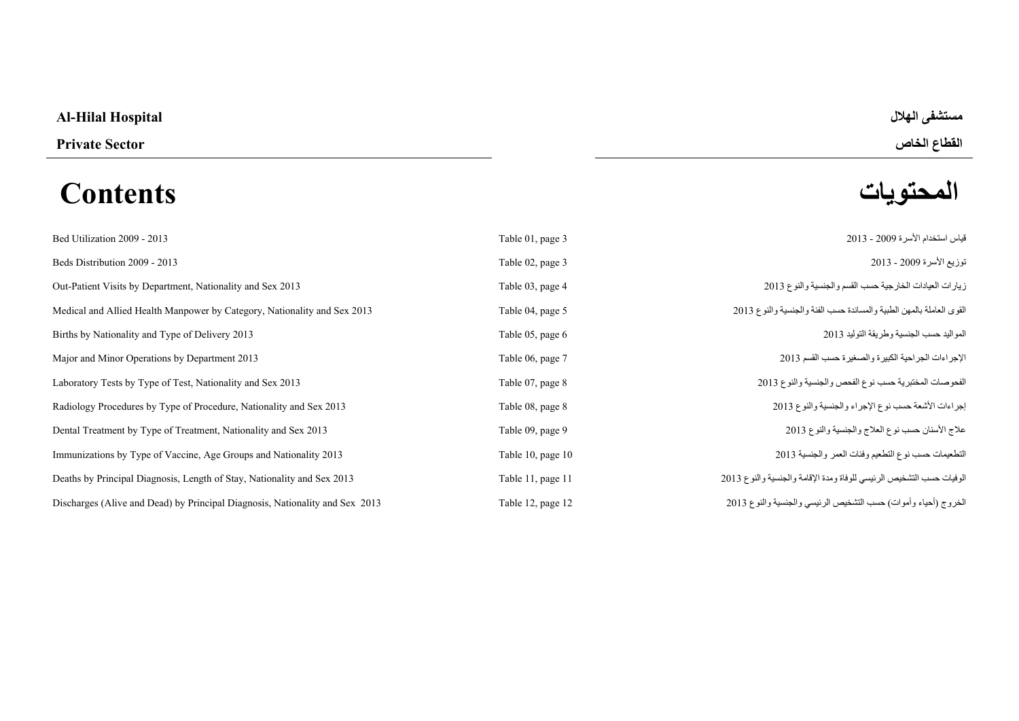### **Al-Hilal Hospital الھالل مستشفى**

## **المحتويات Contents**

# **القطاع الخاص Sector Private**

| Bed Utilization 2009 - 2013                                                  | Table 01, page 3  | قياس استخدام الأسرة 2009 - 2013                                      |
|------------------------------------------------------------------------------|-------------------|----------------------------------------------------------------------|
| Beds Distribution 2009 - 2013                                                | Table 02, page 3  | توزيع الأسرة 2009 - 2013                                             |
| Out-Patient Visits by Department, Nationality and Sex 2013                   | Table 03, page 4  | زيارات العيادات الخارجية حسب القسم والجنسية والنوع 2013              |
| Medical and Allied Health Manpower by Category, Nationality and Sex 2013     | Table 04, page 5  | القوى العاملة بالمهن الطبية والمساندة حسب الفئة والجنسية والنوع 2013 |
| Births by Nationality and Type of Delivery 2013                              | Table 05, page 6  | المواليد حسب الجنسية وطريقة التوليد 2013                             |
| Major and Minor Operations by Department 2013                                | Table 06, page 7  | الإجراءات الجراحية الكبيرة والصغيرة حسب القسم 2013                   |
| Laboratory Tests by Type of Test, Nationality and Sex 2013                   | Table 07, page 8  | الفحوصات المختبرية حسب نوع الفحص والجنسية والنوع 2013                |
| Radiology Procedures by Type of Procedure, Nationality and Sex 2013          | Table 08, page 8  | إجراءات الأشعة حسب نوع الإجراء والجنسية والنوع 2013                  |
| Dental Treatment by Type of Treatment, Nationality and Sex 2013              | Table 09, page 9  | علاج الأسنان حسب نوع العلاج والجنسية والنوع 2013                     |
| Immunizations by Type of Vaccine, Age Groups and Nationality 2013            | Table 10, page 10 | التطعيمات حسب نوع التطعيم وفئات العمر والجنسية 2013                  |
| Deaths by Principal Diagnosis, Length of Stay, Nationality and Sex 2013      | Table 11, page 11 | الوفيات حسب التشخيص الرئيسي للوفاة ومدة الإقامة والجنسية والنوع 2013 |
| Discharges (Alive and Dead) by Principal Diagnosis, Nationality and Sex 2013 | Table 12, page 12 | الخروج (أحياء وأموات) حسب التشخيص الرئيسي والجنسية والنوع 2013       |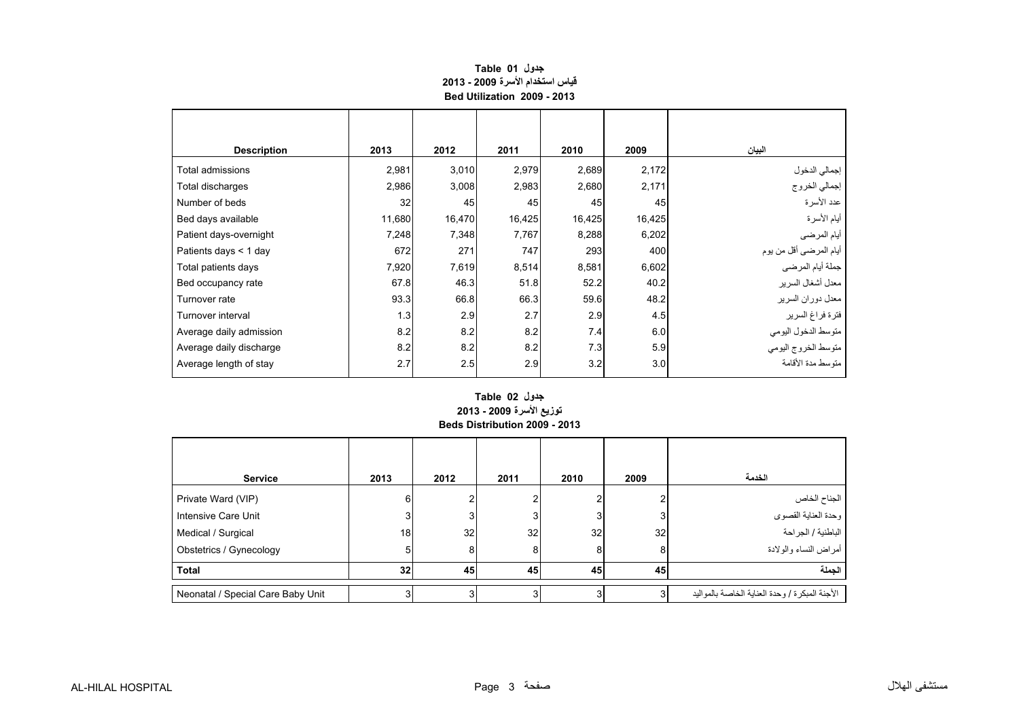#### **قياس استخدام األسرة 2009 - 2013 Bed Utilization 2009 - 2013 جدول 01 Table**

<span id="page-1-0"></span>

| <b>Description</b>      | 2013   | 2012   | 2011   | 2010   | 2009   | البيان                  |
|-------------------------|--------|--------|--------|--------|--------|-------------------------|
| Total admissions        | 2,981  | 3,010  | 2,979  | 2,689  | 2,172  | إجمالي الدخول           |
| Total discharges        | 2,986  | 3,008  | 2,983  | 2,680  | 2,171  | إجمالي الخروج           |
| Number of beds          | 32     | 45     | 45     | 45     | 45     | عدد الأسرة              |
| Bed days available      | 11,680 | 16,470 | 16,425 | 16,425 | 16,425 | أيام الأسرة             |
| Patient days-overnight  | 7,248  | 7,348  | 7,767  | 8,288  | 6,202  | أيام المرضىي            |
| Patients days < 1 day   | 672    | 271    | 747    | 293    | 400    | أيام المرضىي أقل من يوم |
| Total patients days     | 7,920  | 7,619  | 8,514  | 8,581  | 6,602  | جملة أيام المرضى        |
| Bed occupancy rate      | 67.8   | 46.3   | 51.8   | 52.2   | 40.2   | معدل أشغال السرير       |
| Turnover rate           | 93.3   | 66.8   | 66.3   | 59.6   | 48.2   | معدل دوران السرير       |
| Turnover interval       | 1.3    | 2.9    | 2.7    | 2.9    | 4.5    | فترة فراغ السرير        |
| Average daily admission | 8.2    | 8.2    | 8.2    | 7.4    | 6.0    | متوسط الدخول اليومي     |
| Average daily discharge | 8.2    | 8.2    | 8.2    | 7.3    | 5.9    | متوسط الخروج اليومي     |
| Average length of stay  | 2.7    | 2.5    | 2.9    | 3.2    | 3.0    | متوسط مدة الأقامة       |

#### **Beds Distribution 2009 - 2013 جدول 02 Table توزيع األسرة 2009 - 2013**

| <b>Service</b>                    | 2013            | 2012 | 2011 | 2010 | 2009            | الخدمة                                             |
|-----------------------------------|-----------------|------|------|------|-----------------|----------------------------------------------------|
| Private Ward (VIP)                | 6               |      |      |      |                 |                                                    |
| Intensive Care Unit               | 3               |      | 3    |      | 3               | الجناح الخاص<br>وحدة العناية القصوي                |
| Medical / Surgical                | 18 <sub>1</sub> | 32   | 32   | 32   | 32 <sub>1</sub> | الباطنية / الجراحة                                 |
| Obstetrics / Gynecology           | 5               | 8    | 8    |      | 8               | أمراض النساء والولادة                              |
| <b>Total</b>                      | 32              | 45   | 45   | 45   | 45              | الحملة                                             |
| Neonatal / Special Care Baby Unit |                 |      |      |      |                 | الأجنة المبكر ة / و حدة العناية الخاصىة بالمو اليد |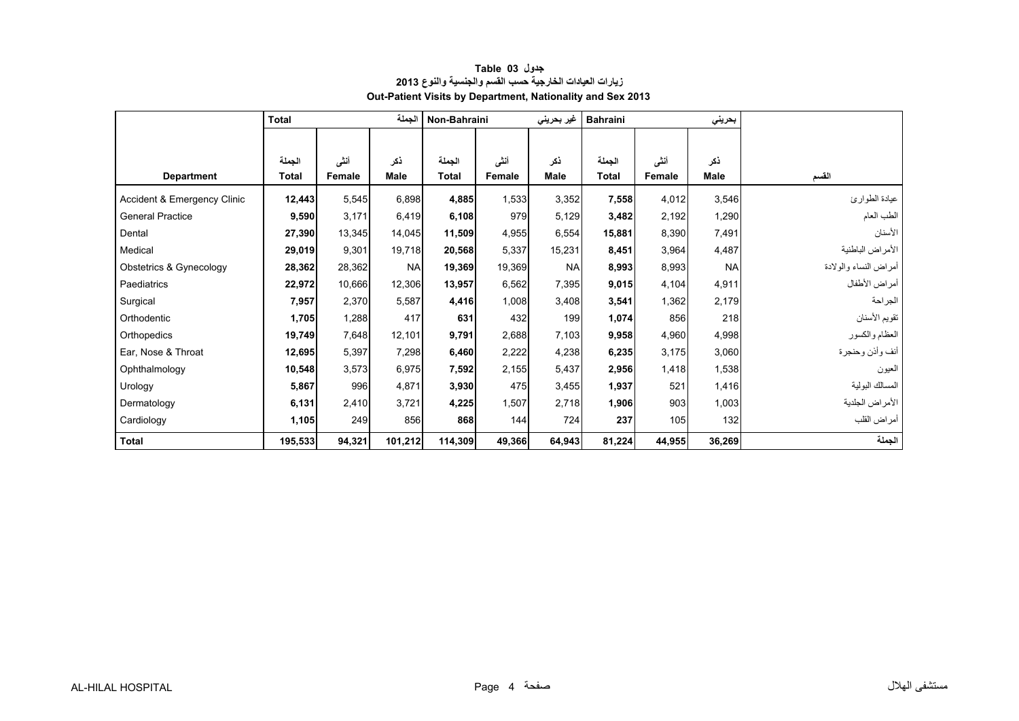<span id="page-2-0"></span>

|                             | الجملة<br><b>Total</b> |        |             | Non-Bahraini |        | غير بحرين <i>ي</i> | <b>Bahraini</b> |        | بحريني      |                       |
|-----------------------------|------------------------|--------|-------------|--------------|--------|--------------------|-----------------|--------|-------------|-----------------------|
|                             |                        |        |             |              |        |                    |                 |        |             |                       |
|                             | الجملة                 | أنشى   | نكر         | الجملة       | أننى   | ذكر                | الجملة          | أننى   | ذكر         |                       |
| <b>Department</b>           | <b>Total</b>           | Female | <b>Male</b> | <b>Total</b> | Female | Male               | Total           | Female | <b>Male</b> | القسم                 |
| Accident & Emergency Clinic | 12,443                 | 5,545  | 6,898       | 4,885        | 1,533  | 3,352              | 7,558           | 4,012  | 3,546       | عيادة الطوارئ         |
| <b>General Practice</b>     | 9,590                  | 3,171  | 6,419       | 6,108        | 979    | 5,129              | 3,482           | 2,192  | 1,290       | الطب العام            |
| Dental                      | 27,390                 | 13,345 | 14,045      | 11,509       | 4,955  | 6,554              | 15,881          | 8,390  | 7,491       | الأسنان               |
| Medical                     |                        | 9,301  | 19,718      |              | 5,337  | 15,231             | 8,451           | 3,964  |             | الأمراض الباطنية      |
|                             | 29,019                 |        |             | 20,568       |        |                    |                 |        | 4,487       |                       |
| Obstetrics & Gynecology     | 28,362                 | 28,362 | <b>NA</b>   | 19,369       | 19,369 | <b>NA</b>          | 8,993           | 8,993  | <b>NA</b>   | أمراض النساء والولادة |
| Paediatrics                 | 22,972                 | 10,666 | 12,306      | 13,957       | 6,562  | 7,395              | 9,015           | 4,104  | 4,911       | أمراض الأطفال         |
| Surgical                    | 7,957                  | 2,370  | 5,587       | 4,416        | 1,008  | 3,408              | 3,541           | 1,362  | 2,179       | الجراحة               |
| Orthodentic                 | 1,705                  | 1,288  | 417         | 631          | 432    | 199                | 1,074           | 856    | 218         | تقويم الأسنان         |
| Orthopedics                 | 19,749                 | 7,648  | 12,101      | 9,791        | 2,688  | 7,103              | 9,958           | 4,960  | 4,998       | العظام والكسور        |
| Ear, Nose & Throat          | 12,695                 | 5,397  | 7,298       | 6,460        | 2,222  | 4,238              | 6,235           | 3,175  | 3,060       | أنف وأذن وحنجرة       |
| Ophthalmology               | 10,548                 | 3,573  | 6,975       | 7,592        | 2,155  | 5,437              | 2,956           | 1,418  | 1,538       | العيون                |
| Urology                     | 5,867                  | 996    | 4,871       | 3,930        | 475    | 3,455              | 1,937           | 521    | 1,416       | المسالك البولية       |
| Dermatology                 | 6,131                  | 2,410  | 3,721       | 4,225        | 1,507  | 2,718              | 1,906           | 903    | 1,003       | الأمراض الجلدية       |
| Cardiology                  | 1,105                  | 249    | 856         | 868          | 144    | 724                | 237             | 105    | 132         | أمراض القلب           |
| <b>Total</b>                | 195,533                | 94,321 | 101,212     | 114,309      | 49,366 | 64,943             | 81,224          | 44,955 | 36,269      | الجملة                |

#### **جدول 03 Table زيارات العيادات الخارجية حسب القسم والجنسية والنوع <sup>2013</sup> Out-Patient Visits by Department, Nationality and Sex 2013**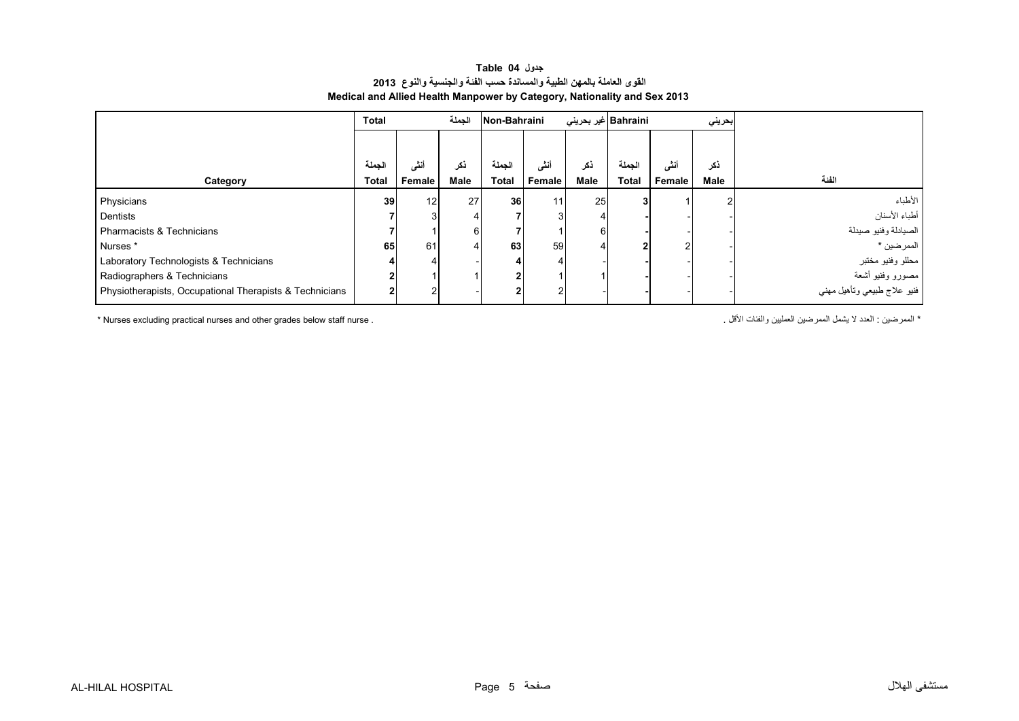#### **جدول 04 Table القوى العاملة بالمھن الطبية والمساندة حسب الفئة والجنسية والنوع <sup>2013</sup> Medical and Allied Health Manpower by Category, Nationality and Sex 2013**

<span id="page-3-0"></span>

|                                                         | <b>Total</b> | الجملة         |             | Non-Bahraini    |        | Bahraini  غیر بحرینی |              |        | بحريني |                                          |
|---------------------------------------------------------|--------------|----------------|-------------|-----------------|--------|----------------------|--------------|--------|--------|------------------------------------------|
|                                                         |              |                |             |                 |        |                      |              |        |        |                                          |
|                                                         | لجملة        | انتے           | نكر         | لحملة           | أنشى   | ذكر                  | الجملة       | أنشى   | ذكر    |                                          |
| Category                                                | <b>Total</b> | Female         | <b>Male</b> | <b>Total</b>    | Female | Male                 | <b>Total</b> | Female | Male   | الفنة                                    |
| Physicians                                              | 39           | 12             | 27          | 36 <sup>1</sup> | 11     | 25                   |              |        |        | الأطباء                                  |
| Dentists                                                |              |                |             |                 | 3      |                      |              |        |        | أطباء الأسنان                            |
| <b>Pharmacists &amp; Technicians</b>                    |              |                | 6           |                 |        |                      |              |        |        | الصيادلة وفنيو صيدلة                     |
| Nurses *                                                | 65           | 61             |             | 63              | 59     |                      |              | 2      |        | الممرضين *                               |
| Laboratory Technologists & Technicians                  |              |                |             |                 |        |                      |              |        |        | محللو وفنيو مختبر                        |
| Radiographers & Technicians                             |              |                |             |                 |        |                      |              |        |        | مصورو وفنيو أشعة                         |
| Physiotherapists, Occupational Therapists & Technicians |              | $\overline{2}$ |             |                 | 2      |                      |              |        |        | ۔۔۔۔۔۔۔۔۔<br>فنيو علاج طبيعي وتأهيل مھني |

\* Nurses excluding practical nurses and other grades below staff nurse . . األقل والفئات العمليين الممرضين يشمل ال العدد : الممرضين\*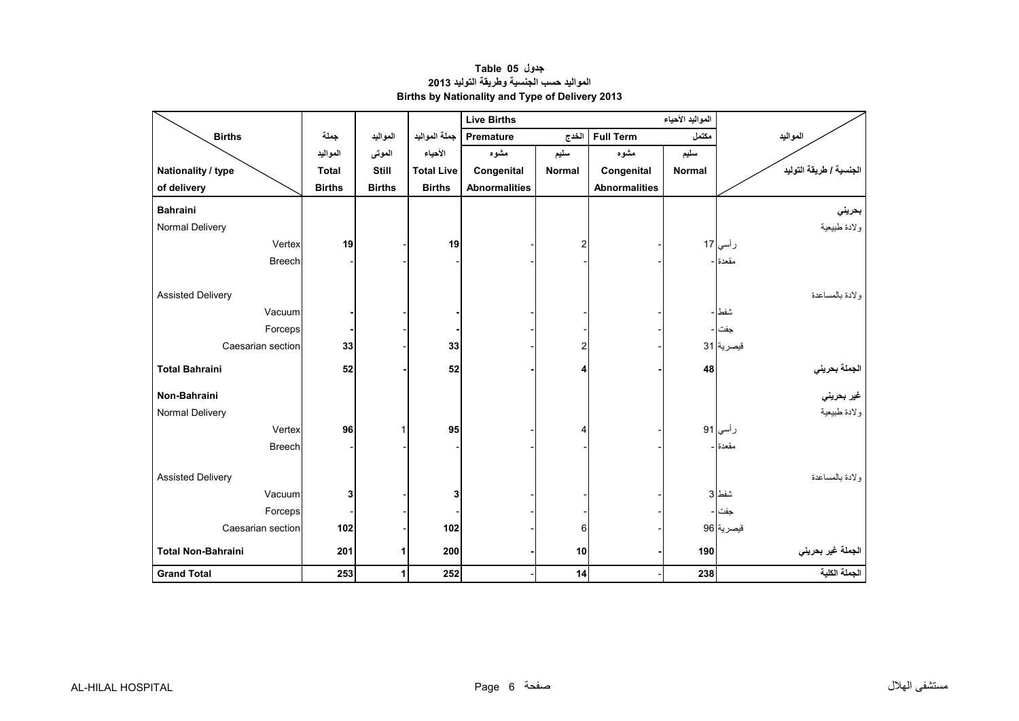<span id="page-4-0"></span>

|                           |               |               |                   | <b>Live Births</b>   |               |                      |               |                                             |
|---------------------------|---------------|---------------|-------------------|----------------------|---------------|----------------------|---------------|---------------------------------------------|
| <b>Births</b>             | جملة          | المواليد      | جملة المواليد     | Premature            | الخدج         | <b>Full Term</b>     | مكتمل         | المواليد                                    |
|                           | المواليد      | الموتى        | الأحياء           | مشوه                 | سليم          | مشوه                 | سليم          |                                             |
| Nationality / type        | <b>Total</b>  | <b>Still</b>  | <b>Total Live</b> | Congenital           | <b>Normal</b> | Congenital           | <b>Normal</b> | الجنسية / طريقة التوليد                     |
| of delivery               | <b>Births</b> | <b>Births</b> | <b>Births</b>     | <b>Abnormalities</b> |               | <b>Abnormalities</b> |               |                                             |
| <b>Bahraini</b>           |               |               |                   |                      |               |                      |               | بحريني                                      |
| Normal Delivery           |               |               |                   |                      |               |                      |               | ولادة طبيعية                                |
| Vertex                    | 19            |               | 19                |                      | 2             |                      |               | رأسي 17                                     |
| <b>Breech</b>             |               |               |                   |                      |               |                      |               | مقعدة -                                     |
|                           |               |               |                   |                      |               |                      |               |                                             |
| <b>Assisted Delivery</b>  |               |               |                   |                      |               |                      |               | ولادة بالمساعدة                             |
| Vacuum                    |               |               |                   |                      |               |                      |               | شفط ا –                                     |
| Forceps                   |               |               |                   |                      |               |                      |               | جفت ا۔                                      |
| Caesarian section         | 33            |               | 33                |                      | 2             |                      |               | قيصرية 31                                   |
| <b>Total Bahraini</b>     | 52            |               | 52                |                      | 4             |                      | 48            |                                             |
| Non-Bahraini              |               |               |                   |                      |               |                      |               | الجملة بحرين <i>ي</i><br>غير بحرين <i>ي</i> |
| Normal Delivery           |               |               |                   |                      |               |                      |               | ولادة طبيعية                                |
| Vertex                    | 96            | 1             | 95                |                      | 4             |                      |               | رأسي 91                                     |
| <b>Breech</b>             |               |               |                   |                      |               |                      |               | مقعدة ا-                                    |
|                           |               |               |                   |                      |               |                      |               |                                             |
| <b>Assisted Delivery</b>  |               |               |                   |                      |               |                      |               | ولادة بالمساعدة                             |
| Vacuum                    | 3             |               | 3                 |                      |               |                      |               | شفط 3                                       |
| Forceps                   |               |               |                   |                      |               |                      |               | جفت ا ۔                                     |
| Caesarian section         | 102           |               | 102               |                      | 6             |                      |               | قيصرية 96                                   |
| <b>Total Non-Bahraini</b> | 201           | 1             | 200               |                      | 10            |                      | 190           | الجملة غير بحرين <i>ي</i>                   |
| <b>Grand Total</b>        | 253           | $\mathbf{1}$  | 252               |                      | 14            |                      | 238           | الجملة الكلية                               |

**جدول 05 Table المواليد حسب الجنسية وطريقة التوليد <sup>2013</sup> Births by Nationality and Type of Delivery 2013**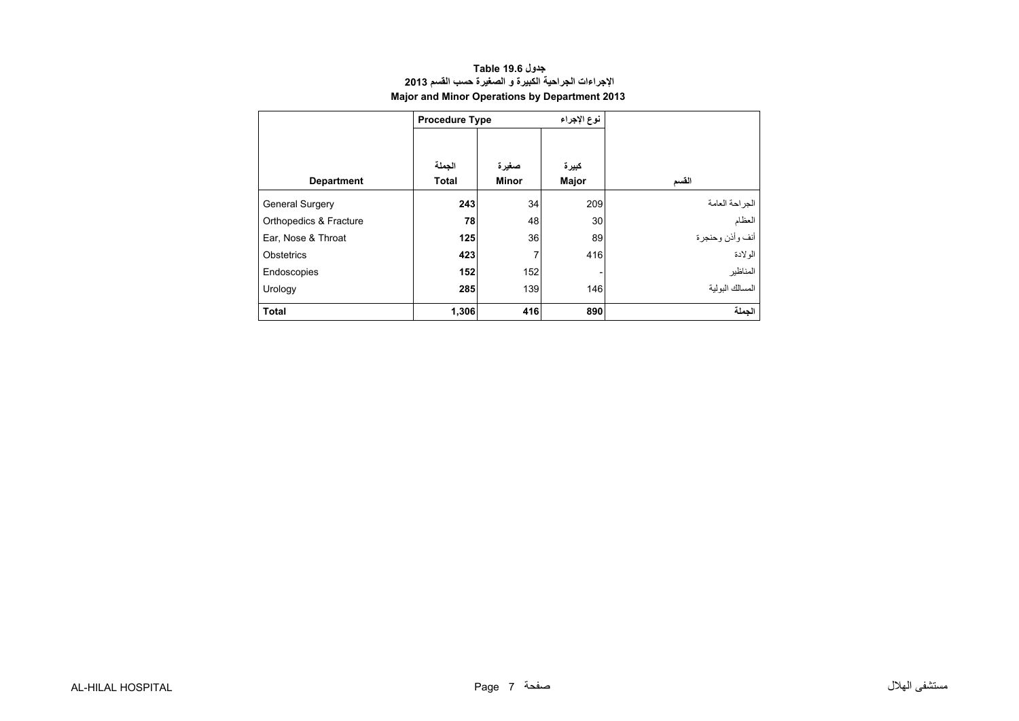<span id="page-5-0"></span>

|                        | <b>Procedure Type</b>  |                       | نوع الإجراء    |                 |
|------------------------|------------------------|-----------------------|----------------|-----------------|
| <b>Department</b>      | الجملة<br><b>Total</b> | صغيرة<br><b>Minor</b> | كبيرة<br>Major | القسم           |
| <b>General Surgery</b> | 243                    | 34                    | 209            | الجز احة العامة |
| Orthopedics & Fracture | 78                     | 48                    | 30             | العظام          |
| Ear, Nose & Throat     | 125                    | 36                    | 89             | أنف وأذن وحنجرة |
| Obstetrics             | 423                    | 7                     | 416            | الو لادة        |
| Endoscopies            | 152                    | 152                   |                | المناظير        |
| Urology                | 285                    | 139                   | 146            | المسالك البولبة |
| <b>Total</b>           | 1,306                  | 416                   | 890            | الحملة          |

#### **اإلجراءات الجراحية الكبيرة <sup>و</sup> الصغيرة حسب القسم <sup>2013</sup> Major and Minor Operations by Department 2013 جدول 19.6 Table**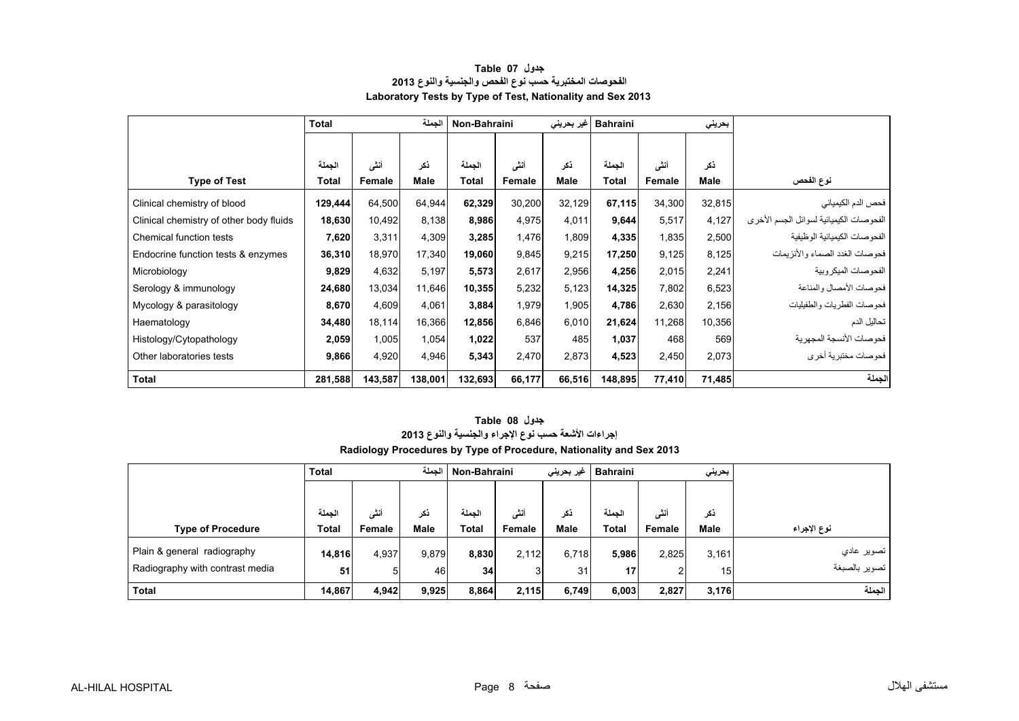<span id="page-6-0"></span>

|                                         | <b>Total</b> |               | الجملة      | Non-Bahraini |        | غیر بحرین <i>ی</i> | <b>Bahraini</b> |        | بحرينى      |                                         |
|-----------------------------------------|--------------|---------------|-------------|--------------|--------|--------------------|-----------------|--------|-------------|-----------------------------------------|
|                                         |              |               |             |              |        |                    |                 |        |             |                                         |
|                                         | الجملة       | أنشى          | ذكر         | الجملة       | أنشى   | ذكر                | الجملة          | أنشى   | ذكر         |                                         |
| <b>Type of Test</b>                     | Total        | <b>Female</b> | <b>Male</b> | Total        | Female | Male               | <b>Total</b>    | Female | <b>Male</b> | نوع الفحص                               |
| Clinical chemistry of blood             | 129,444      | 64,500        | 64,944      | 62,329       | 30,200 | 32,129             | 67,115          | 34,300 | 32,815      | فحص الدم الكيميائي                      |
| Clinical chemistry of other body fluids | 18,630       | 10,492        | 8,138       | 8,986        | 4,975  | 4,011              | 9,644           | 5,517  | 4,127       | الفحوصات الكيميائية لسوائل الجسم الأخرى |
| Chemical function tests                 | 7,620        | 3,311         | 4,309       | 3,285        | 1,476  | 1,809              | 4,335           | 1,835  | 2,500       | الفحوصات الكيميائية الوظيفية            |
| Endocrine function tests & enzymes      | 36,310       | 18,970        | 17,340      | 19,060       | 9,845  | 9,215              | 17,250          | 9,125  | 8,125       | فحو صبات الغدد الصماء و الأنز يمات      |
| Microbiology                            | 9,829        | 4,632         | 5,197       | 5,573        | 2,617  | 2,956              | 4,256           | 2,015  | 2,241       | الفحوصات الميكروبية                     |
| Serology & immunology                   | 24,680       | 13,034        | 11,646      | 10,355       | 5,232  | 5,123              | 14,325          | 7,802  | 6,523       | فحو صبات الأمصيال والمناعة              |
| Mycology & parasitology                 | 8,670        | 4,609         | 4,061       | 3,884        | 1,979  | 1,905              | 4,786           | 2,630  | 2,156       | فحوصات الفطريات والطفيليات              |
| Haematology                             | 34,480       | 18,114        | 16,366      | 12,856       | 6,846  | 6,010              | 21,624          | 11,268 | 10,356      | تحاليل الدم                             |
| Histology/Cytopathology                 | 2,059        | 1,005         | 1,054       | 1,022        | 537    | 485                | 1,037           | 468    | 569         | فحو صبات الأنسجة المجهر ية              |
| Other laboratories tests                | 9,866        | 4,920         | 4,946       | 5,343        | 2,470  | 2,873              | 4,523           | 2,450  | 2,073       | فحوصات مختبرية أخرى                     |
| Total                                   | 281,588      | 143,587       | 138,001     | 132,693      | 66,177 | 66,516             | 148,895         | 77,410 | 71,485      | الجملة                                  |

#### **جدول 07 Table الفحوصات المختبرية حسب نوع الفحص والجنسية والنوع <sup>2013</sup> Laboratory Tests by Type of Test, Nationality and Sex 2013**

| جدول Table 08                                                       |
|---------------------------------------------------------------------|
| إجراءات الأشعة حسب نوع الإجراء والجنسية والنوع 2013                 |
| Radiology Procedures by Type of Procedure, Nationality and Sex 2013 |

|                                 | <b>Total</b> | الحملة |       |        | غیر بحرین <i>ی</i><br>  Non-Bahraini<br><b>Bahraini</b> |             |                 |        | بحريني          |               |
|---------------------------------|--------------|--------|-------|--------|---------------------------------------------------------|-------------|-----------------|--------|-----------------|---------------|
|                                 |              |        |       |        |                                                         |             |                 |        |                 |               |
|                                 | الجملة       | أنشى   | ذكر   | الحملة | أنشى                                                    | ذكر         | الحملة          | أنشى   | ذكر             |               |
| <b>Type of Procedure</b>        | Total        | Female | Male  | Total  | Female                                                  | <b>Male</b> | Total           | Female | <b>Male</b>     | نوع الإجراء   |
| Plain & general radiography     | 14,816       | 4,937  | 9,879 | 8,830  | 2,112                                                   | 6,718       | 5,986           | 2,825  | 3,161           | تصوير عادي    |
| Radiography with contrast media | 51           | 5      | 46    | 34     | 3                                                       | 31          | 17 <sub>1</sub> | 2      | 15 <sub>l</sub> | تصوير بالصبغة |
| <b>Total</b>                    | 14,867       | 4,942  | 9,925 | 8,864  | 2,115                                                   | 6,749       | 6,003           | 2,827  | 3,176           | الحملة        |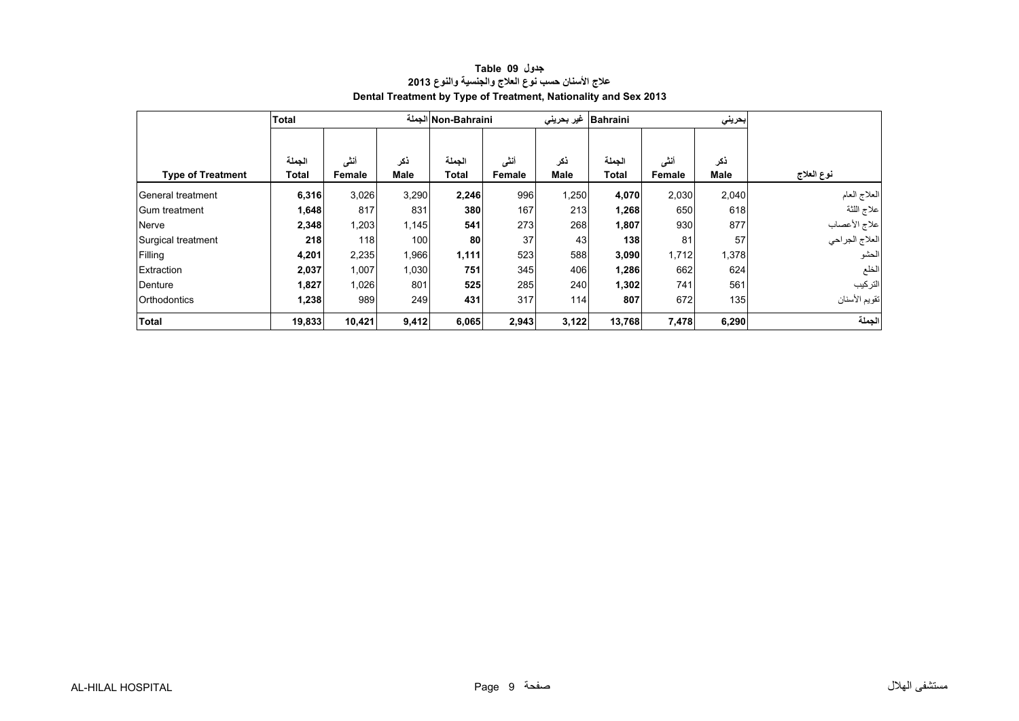<span id="page-7-0"></span>

|                          | <b>Total</b> |        |             | Non-Bahraini الجملة |        | غیر بحرینی  | Bahraini     |        | بحريني |                 |
|--------------------------|--------------|--------|-------------|---------------------|--------|-------------|--------------|--------|--------|-----------------|
|                          |              |        |             |                     |        |             |              |        |        |                 |
|                          | الجملة       | أنشى   | نكر         | الجملة              | أننى   | نكر         | الجملة       | أنشى   | نكر    |                 |
| <b>Type of Treatment</b> | Total        | Female | <b>Male</b> | <b>Total</b>        | Female | <b>Male</b> | <b>Total</b> | Female | Male   | نوع العلاج      |
| General treatment        | 6,316        | 3,026  | 3,290       | 2,246               | 996    | 1,250       | 4,070        | 2,030  | 2,040  | العلاج العام    |
| IGum treatment           | 1,648        | 817    | 831         | 380                 | 167    | 213         | 1,268        | 650    | 618    | علاج اللثة      |
| Nerve                    | 2,348        | 1,203  | 1,145       | 541                 | 273    | 268         | 1,807        | 930    | 877    | علاج الأعصاب    |
| Surgical treatment       | 218          | 118    | 100         | 80                  | 37     | 43          | 138          | 81     | 57     | االعلاج الجراحي |
| Filling                  | 4,201        | 2,235  | 1,966       | 1,111               | 523    | 588         | 3,090        | 1,712  | 1,378  | الحشو           |
| Extraction               | 2,037        | 1,007  | 1,030       | 751                 | 345    | 406         | 1,286        | 662    | 624    | الخلع           |
| Denture                  | 1,827        | 1,026  | 801         | 525                 | 285    | 240         | 1,302        | 741    | 561    | التركيب         |
| <b>Orthodontics</b>      | 1,238        | 989    | 249         | 431                 | 317    | 114         | 807          | 672    | 135    | تقويم الأسنان   |
| <b>Total</b>             | 19,833       | 10,421 | 9,412       | 6,065               | 2,943  | 3,122       | 13,768       | 7,478  | 6,290  | الجملة          |

#### **عالج األسنان حسب نوع العالج والجنسية والنوع <sup>2013</sup> Dental Treatment by Type of Treatment, Nationality and Sex 2013 جدول 09 Table**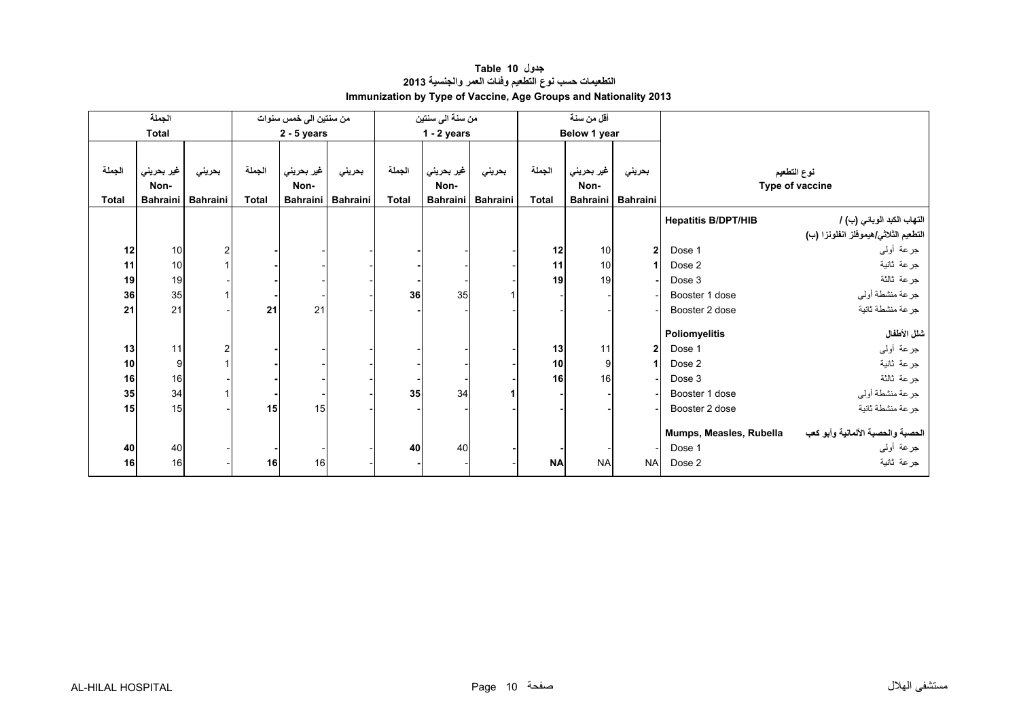<span id="page-8-0"></span>

|              | الجملة          |                 |              |                        |                   |              |                  |                 |              | أقل من سنة      |                 |                            |                                      |
|--------------|-----------------|-----------------|--------------|------------------------|-------------------|--------------|------------------|-----------------|--------------|-----------------|-----------------|----------------------------|--------------------------------------|
|              |                 |                 |              | من سنتين الى خمس سنوات |                   |              | من سنة الى سنتين |                 |              |                 |                 |                            |                                      |
|              | <b>Total</b>    |                 |              | $2 - 5$ years          |                   |              | $1 - 2$ years    |                 |              | Below 1 year    |                 |                            |                                      |
|              |                 |                 |              |                        |                   |              |                  |                 |              |                 |                 |                            |                                      |
| الجملة       |                 |                 | الجملة       |                        |                   | الجملة       |                  |                 | الجملة       |                 |                 |                            |                                      |
|              | غير بحريني      | بحريني          |              | غير بحريني             | بحريني            |              | غير بحريني       | بحريني          |              | غير بحريني      | بحريني          |                            | نوع التطعيم                          |
|              | Non-            |                 |              | Non-                   |                   |              | Non-             |                 |              | Non-            |                 |                            | Type of vaccine                      |
| <b>Total</b> | <b>Bahraini</b> | <b>Bahraini</b> | <b>Total</b> |                        | Bahraini Bahraini | <b>Total</b> | <b>Bahraini</b>  | <b>Bahraini</b> | <b>Total</b> | <b>Bahraini</b> | <b>Bahraini</b> |                            |                                      |
|              |                 |                 |              |                        |                   |              |                  |                 |              |                 |                 | <b>Hepatitis B/DPT/HIB</b> | التهاب الكبد الوبائي (ب) /           |
|              |                 |                 |              |                        |                   |              |                  |                 |              |                 |                 |                            | التطعيم الثلاثي/هيموفلز انفلونزا (ب) |
| 12           | 10              | 2               |              |                        |                   |              |                  |                 | 12           | 10              | $\overline{2}$  | Dose 1                     | جرعة أولىي                           |
| 11           | 10              |                 |              |                        |                   |              |                  |                 | 11           | 10              |                 | Dose 2                     | جرعة ثانية                           |
| 19           | 19              |                 |              |                        |                   |              |                  |                 | 19           | 19              |                 | Dose 3                     | جرعة ثالثة                           |
| 36           | 35              |                 |              |                        |                   | 36           | 35               |                 |              |                 |                 | Booster 1 dose             | جرعة منشطة أوليي                     |
| 21           | 21              |                 | 21           | 21                     |                   |              |                  |                 |              |                 |                 | Booster 2 dose             | جرعة منشطة ثانية                     |
|              |                 |                 |              |                        |                   |              |                  |                 |              |                 |                 |                            |                                      |
|              |                 |                 |              |                        |                   |              |                  |                 |              |                 |                 | Poliomyelitis              | شلل الأطفال                          |
| 13           | 11              |                 |              |                        |                   |              |                  |                 | 13           | 11              | $\mathbf{2}$    | Dose 1                     | جرعة أولىي                           |
| 10           | 9               |                 |              |                        |                   |              |                  |                 | 10           | 9               | 1               | Dose 2                     | جرعة ثانية                           |
| 16           | 16              |                 |              |                        |                   |              |                  |                 | 16           | 16              |                 | Dose 3                     | جرعة ثالثة                           |
| 35           | 34              |                 |              |                        |                   | 35           | 34               |                 |              |                 |                 | Booster 1 dose             | جرعة منشطة أولىي                     |
| 15           | 15              |                 | 15           | 15                     |                   |              |                  |                 |              |                 |                 |                            | جرعة منشطة ثانية                     |
|              |                 |                 |              |                        |                   |              |                  |                 |              |                 |                 | Booster 2 dose             |                                      |
|              |                 |                 |              |                        |                   |              |                  |                 |              |                 |                 | Mumps, Measles, Rubella    | الحصبة والحصبة الألمانية وأبو كعب    |
| 40           | 40              |                 |              |                        |                   | 40           | 40               |                 |              |                 |                 | Dose 1                     | جرعة أولىي                           |
| 16           | 16              |                 | 16           | 16                     |                   |              |                  |                 | <b>NA</b>    | <b>NA</b>       | <b>NA</b>       | Dose 2                     | جرعة ثانية                           |
|              |                 |                 |              |                        |                   |              |                  |                 |              |                 |                 |                            |                                      |

#### **التطعيمات حسب نوع التطعيم وفئات العمر والجنسية <sup>2013</sup> Immunization by Type of Vaccine, Age Groups and Nationality 2013 جدول 10 Table**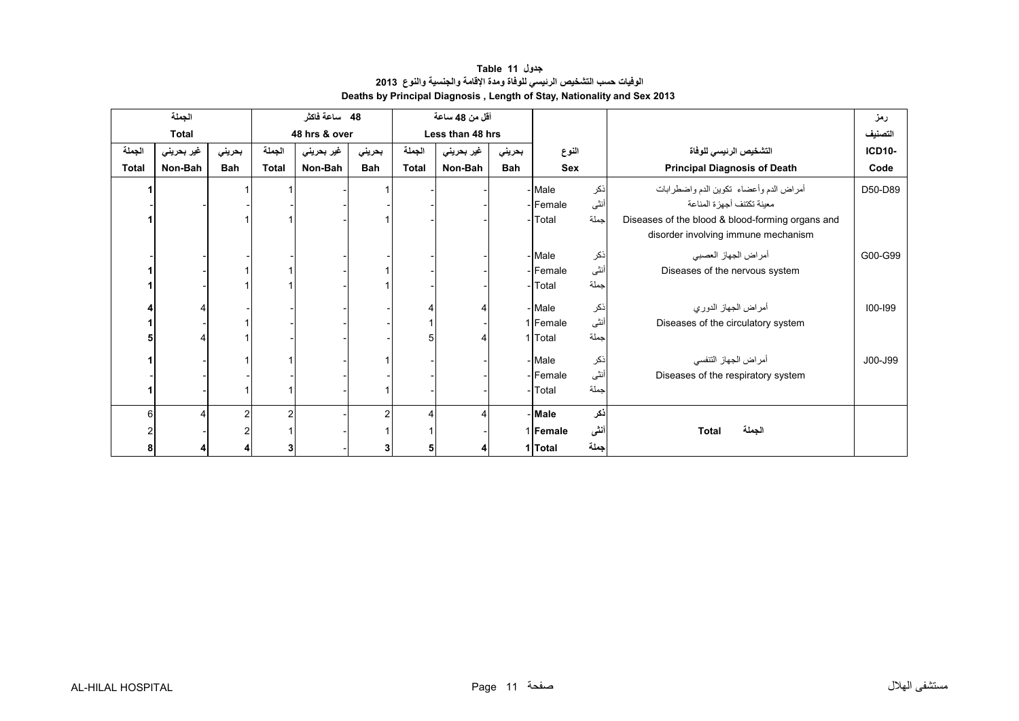**جدول 11 Table الوفيات حسب التشخيص الرئيسي للوفاة ومدة اإلقامة والجنسية والنوع<sup>2013</sup> Deaths by Principal Diagnosis , Length of Stay, Nationality and Sex 2013** 

<span id="page-9-0"></span>

| الجملة       |            |        | 48 ساعة فاكثر |               |                | أقل من 48 ساعة   |            |            |                 |      |                                                  | رمز           |
|--------------|------------|--------|---------------|---------------|----------------|------------------|------------|------------|-----------------|------|--------------------------------------------------|---------------|
| <b>Total</b> |            |        |               | 48 hrs & over |                | Less than 48 hrs |            |            |                 |      |                                                  | التصنيف       |
| الجملة       | غير بحريني | بحريني | الجملة        | غير بحريني    | بحريني         | الجملة           | غير بحريني | بحريني     | النوع           |      | التشخيص الرئيسي للوفاة                           | <b>ICD10-</b> |
| <b>Total</b> | Non-Bah    | Bah    | <b>Total</b>  | Non-Bah       | Bah            | <b>Total</b>     | Non-Bah    | <b>Bah</b> | <b>Sex</b>      |      | <b>Principal Diagnosis of Death</b>              | Code          |
|              |            |        |               |               |                |                  |            |            | - Male          | ذكر  | أمراض الدم وأعضاء تكوين الدم واضطرابات           | D50-D89       |
|              |            |        |               |               |                |                  |            |            | -Female         | أنثى | معينة تكتنف أجهز ة المناعة                       |               |
|              |            |        |               |               |                |                  |            |            | - Total         | جملة | Diseases of the blood & blood-forming organs and |               |
|              |            |        |               |               |                |                  |            |            |                 |      | disorder involving immune mechanism              |               |
|              |            |        |               |               |                |                  |            |            | - Male          | ذكر  | أمراض الجهاز العصبي                              | G00-G99       |
|              |            |        |               |               |                |                  |            |            | - <b>Female</b> | أنثى | Diseases of the nervous system                   |               |
|              |            |        |               |               |                |                  |            |            | - Total         | جملة |                                                  |               |
|              |            |        |               |               |                |                  |            |            |                 |      |                                                  |               |
|              |            |        |               |               |                |                  |            |            | - Male          | ذكر  | أمراض الجهاز الدوري                              | $100 - 199$   |
|              |            |        |               |               |                |                  |            |            | 1 Female        | أنثى | Diseases of the circulatory system               |               |
|              |            |        |               |               |                | 5                |            |            | 1 Total         | جملة |                                                  |               |
|              |            |        |               |               |                |                  |            |            | - Male          | ذكر  | أمراض الجهاز التنفسي                             | J00-J99       |
|              |            |        |               |               |                |                  |            |            | - Female        | أنثى | Diseases of the respiratory system               |               |
|              |            |        |               |               |                |                  |            |            | - Total         | جملة |                                                  |               |
|              |            |        |               |               |                |                  |            |            |                 |      |                                                  |               |
| 6            |            |        | 2             |               | $\overline{2}$ | 4                |            |            | - Male          | ذكر  |                                                  |               |
|              |            |        |               |               |                |                  |            |            | 1 Female        | أننى | الجملة<br><b>Total</b>                           |               |
|              |            |        | 3             |               | 3              | 5                |            |            | 1 Total         | جملة |                                                  |               |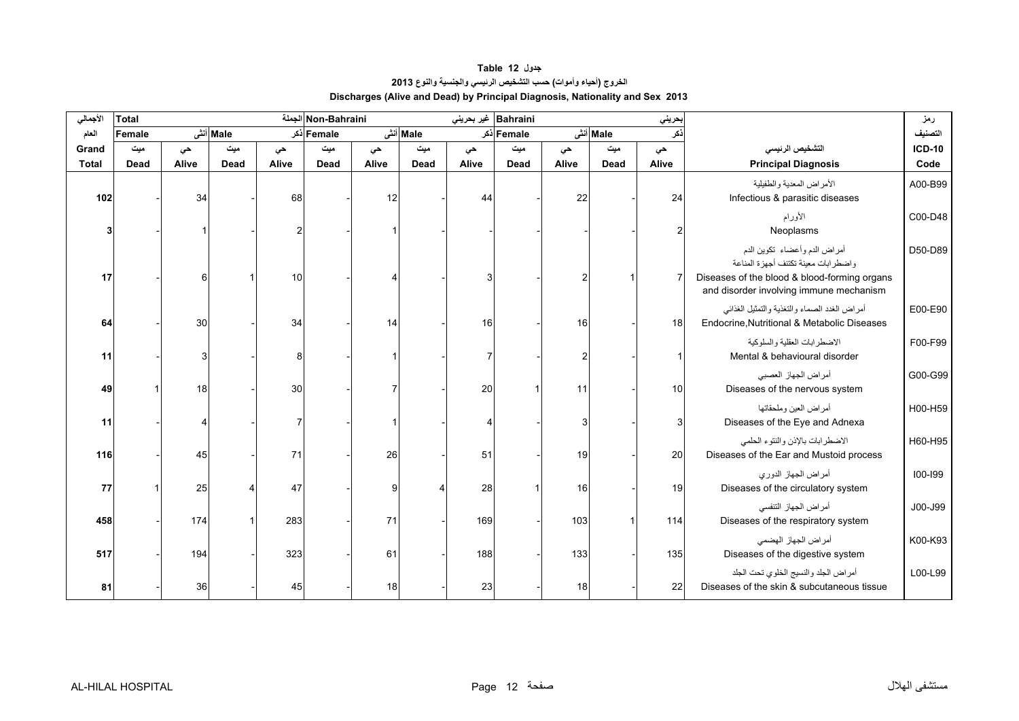**جدول 12 Table الخروج (أحياء وأموات) حسب التشخيص الرئيسي والجنسية والنوع<sup>2013</sup> Discharges (Alive and Dead) by Principal Diagnosis, Nationality and Sex 2013** 

<span id="page-10-0"></span>

| الأجمالي     | <b>Total</b> |       |           |       | Non-Bahraini الجملة |       |          | Bahraini   غير بحريني |             |       |          | حريني |                                                                                                                                                                | رمز      |
|--------------|--------------|-------|-----------|-------|---------------------|-------|----------|-----------------------|-------------|-------|----------|-------|----------------------------------------------------------------------------------------------------------------------------------------------------------------|----------|
| العام        | Female       |       | Male أنشى |       | Female دکر          |       | Male أنش |                       | Female أذكر |       | Male أنش |       |                                                                                                                                                                | التصنيف  |
| Grand        | میت          | حى    | میت       | حى    | میت                 | حى    | میت      | حى                    | میت         | حى    | میت      | حى    | التشخيص الرنيسى                                                                                                                                                | $ICD-10$ |
| <b>Total</b> | <b>Dead</b>  | Alive | Dead      | Alive | Dead                | Alive | Dead     | Alive                 | Dead        | Alive | Dead     | Alive | <b>Principal Diagnosis</b>                                                                                                                                     | Code     |
| 102          |              | 34    |           | 68    |                     | 12    |          | 44                    |             | 22    |          | 24    | الأمراض المعدية والطفيلية<br>Infectious & parasitic diseases                                                                                                   | A00-B99  |
|              |              |       |           |       |                     |       |          |                       |             |       |          |       | الأورام<br>Neoplasms                                                                                                                                           | C00-D48  |
| 17           |              | 61    |           | 10    |                     |       |          |                       |             |       |          |       | أمراض الدم وأعضاء تكوين الدم<br>واضطرابات معينة تكتنف أجهزة المناعة<br>Diseases of the blood & blood-forming organs<br>and disorder involving immune mechanism | D50-D89  |
| 64           |              | 30    |           | 34    |                     | 14    |          | 16                    |             | 16    |          | 18    | أمراض الغدد الصماء والتغذية والتمثيل الغذائبي<br>Endocrine, Nutritional & Metabolic Diseases                                                                   | E00-E90  |
| 11           |              |       |           |       |                     |       |          |                       |             |       |          |       | الاضطرابات العقلية والسلوكية<br>Mental & behavioural disorder                                                                                                  | F00-F99  |
| 49           |              | 18    |           | 30    |                     |       |          | 20                    |             | 11    |          | 10    | أمراض الجهاز العصبي<br>Diseases of the nervous system                                                                                                          | G00-G99  |
| 11           |              |       |           |       |                     |       |          |                       |             |       |          |       | أمراض العين وملحقاتها<br>Diseases of the Eye and Adnexa                                                                                                        | H00-H59  |
| 116          |              | 45    |           | 71    |                     | 26    |          | 51                    |             | 19    |          | 20    | الاضطرابات بالإذن والنتوء الحلمي<br>Diseases of the Ear and Mustoid process                                                                                    | H60-H95  |
| 77           |              | 25    |           | 47    |                     | q     |          | 28                    |             | 16    |          | 19    | أمراض الجهاز الدوري<br>Diseases of the circulatory system                                                                                                      | 100-199  |
| 458          |              | 174   |           | 283   |                     | 71    |          | 169                   |             | 103   |          | 114   | أمراض الجهاز التنفسي<br>Diseases of the respiratory system                                                                                                     | J00-J99  |
| 517          |              | 194   |           | 323   |                     | 61    |          | 188                   |             | 133   |          | 135   | أمراض الجهاز الهضمى<br>Diseases of the digestive system                                                                                                        | K00-K93  |
| 81           |              | 36    |           | 45    |                     | 18    |          | 23                    |             | 18    |          | 22    | أمراض الجلد والنسيج الخلوي تحت الجلد<br>Diseases of the skin & subcutaneous tissue                                                                             | L00-L99  |